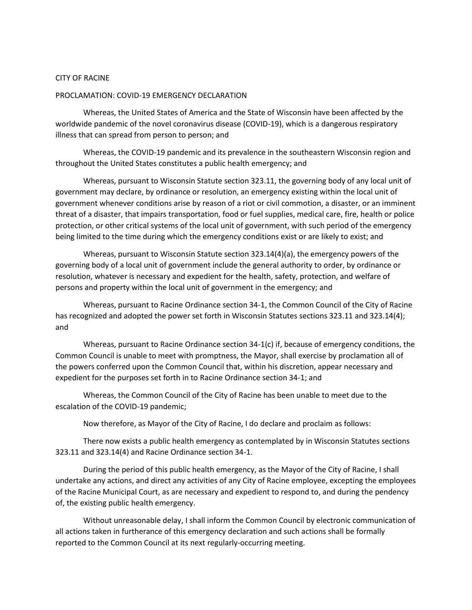## CITY OF RACINE

## PROCLAMATION: COVID-19 EMERGENCY DECLARATION

Whereas, the United States of America and the State of Wisconsin have been affected by the worldwide pandemic of the novel coronavirus disease (COVID-19), which is a dangerous respiratory illness that can spread from person to person; and

Whereas, the COVID-19 pandemic and its prevalence in the southeastern Wisconsin region and throughout the United States constitutes a public health emergency; and

Whereas, pursuant to Wisconsin Statute section 323.11, the governing body of any local unit of government may declare, by ordinance or resolution, an emergency existing within the local unit of government whenever conditions arise by reason of a riot or civil commotion, a disaster, or an imminent threat of a disaster, that impairs transportation, food or fuel supplies, medical care, fire, health or police protection, or other critical systems of the local unit of government, with such period of the emergency being limited to the time during which the emergency conditions exist or are likely to exist; and

Whereas, pursuant to Wisconsin Statute section 323.14(4)(a), the emergency powers of the governing body of a local unit of government include the general authority to order, by ordinance or resolution, whatever is necessary and expedient for the health, safety, protection, and welfare of persons and property within the local unit of government in the emergency; and

Whereas, pursuant to Racine Ordinance section 34-1, the Common Council of the City of Racine has recognized and adopted the power set forth in Wisconsin Statutes sections 323.11 and 323.14(4); and

Whereas, pursuant to Racine Ordinance section 34-1(c) if, because of emergency conditions, the Common Council is unable to meet with promptness, the Mayor, shall exercise by proclamation all of the powers conferred upon the Common Council that, within his discretion, appear necessary and expedient for the purposes set forth in to Racine Ordinance section 34-1; and

Whereas, the Common Council of the City of Racine has been unable to meet due to the escalation of the COVID-19 pandemic;

Now therefore, as Mayor of the City of Racine, I do declare and proclaim as follows:

There now exists a public health emergency as contemplated by in Wisconsin Statutes sections 323.11 and 323.14(4) and Racine Ordinance section 34-1.

During the period of this public health emergency, as the Mayor of the City of Racine, I shall undertake any actions, and direct any activities of any City of Racine employee, excepting the employees of the Racine Municipal Court, as are necessary and expedient to respond to, and during the pendency of, the existing public health emergency.

Without unreasonable delay, I shall inform the Common Council by electronic communication of all actions taken in furtherance of this emergency declaration and such actions shall be formally reported to the Common Council at its next regularly-occurring meeting.